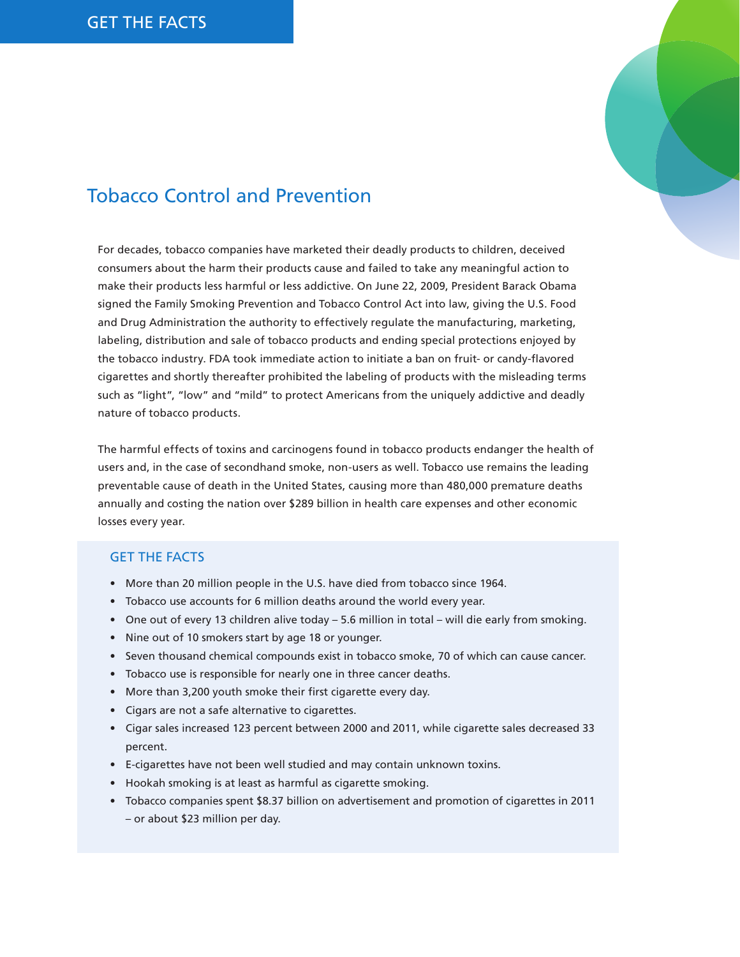

## Tobacco Control and Prevention

For decades, tobacco companies have marketed their deadly products to children, deceived consumers about the harm their products cause and failed to take any meaningful action to make their products less harmful or less addictive. On June 22, 2009, President Barack Obama signed the Family Smoking Prevention and Tobacco Control Act into law, giving the U.S. Food and Drug Administration the authority to effectively regulate the manufacturing, marketing, labeling, distribution and sale of tobacco products and ending special protections enjoyed by the tobacco industry. FDA took immediate action to initiate a ban on fruit- or candy-flavored cigarettes and shortly thereafter prohibited the labeling of products with the misleading terms such as "light", "low" and "mild" to protect Americans from the uniquely addictive and deadly nature of tobacco products.

The harmful effects of toxins and carcinogens found in tobacco products endanger the health of users and, in the case of secondhand smoke, non-users as well. Tobacco use remains the leading preventable cause of death in the United States, causing more than 480,000 premature deaths annually and costing the nation over \$289 billion in health care expenses and other economic losses every year.

## Get the Facts

- More than 20 million people in the U.S. have died from tobacco since 1964.
- Tobacco use accounts for 6 million deaths around the world every year.
- • One out of every 13 children alive today 5.6 million in total will die early from smoking.
- Nine out of 10 smokers start by age 18 or younger.
- • Seven thousand chemical compounds exist in tobacco smoke, 70 of which can cause cancer.
- Tobacco use is responsible for nearly one in three cancer deaths.
- More than 3,200 youth smoke their first cigarette every day.
- • Cigars are not a safe alternative to cigarettes.
- • Cigar sales increased 123 percent between 2000 and 2011, while cigarette sales decreased 33 percent.
- • E-cigarettes have not been well studied and may contain unknown toxins.
- Hookah smoking is at least as harmful as cigarette smoking.
- Tobacco companies spent \$8.37 billion on advertisement and promotion of cigarettes in 2011 – or about \$23 million per day.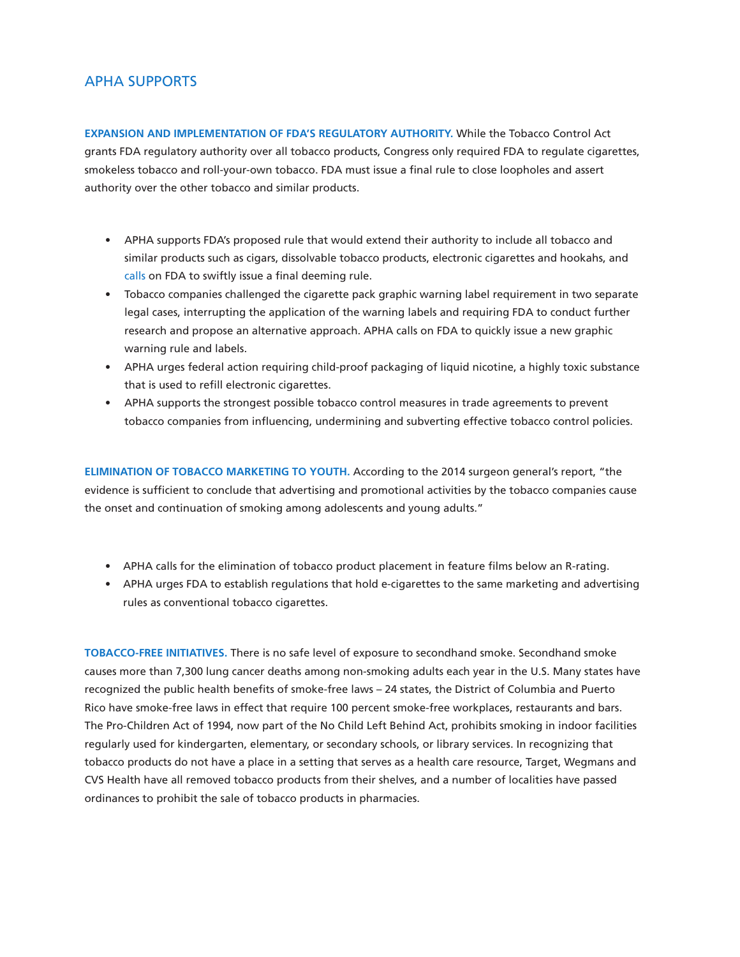## APHA Supports

**Expansion and implementation of FDA's regulatory authority.** While the Tobacco Control Act grants FDA regulatory authority over all tobacco products, Congress only required FDA to regulate cigarettes, smokeless tobacco and roll-your-own tobacco. FDA must issue a final rule to close loopholes and assert authority over the other tobacco and similar products.

- • APHA supports FDA's proposed rule that would extend their authority to include all tobacco and similar products such as cigars, dissolvable tobacco products, electronic cigarettes and hookahs, and [calls](http://apha.org/~/media/files/pdf/advocacy/testimony%20and%20comments/140807_deeming.ashx) on FDA to swiftly issue a final deeming rule.
- • Tobacco companies challenged the cigarette pack graphic warning label requirement in two separate legal cases, interrupting the application of the warning labels and requiring FDA to conduct further research and propose an alternative approach. APHA calls on FDA to quickly issue a new graphic warning rule and labels.
- • APHA urges federal action requiring child-proof packaging of liquid nicotine, a highly toxic substance that is used to refill electronic cigarettes.
- APHA supports the strongest possible tobacco control measures in trade agreements to prevent tobacco companies from influencing, undermining and subverting effective tobacco control policies.

**Elimination of tobacco marketing to youth.** According to the 2014 surgeon general's report, "the evidence is sufficient to conclude that advertising and promotional activities by the tobacco companies cause the onset and continuation of smoking among adolescents and young adults."

- • APHA calls for the elimination of tobacco product placement in feature films below an R-rating.
- • APHA urges FDA to establish regulations that hold e-cigarettes to the same marketing and advertising rules as conventional tobacco cigarettes.

**Tobacco-free initiatives.** There is no safe level of exposure to secondhand smoke. Secondhand smoke causes more than 7,300 lung cancer deaths among non-smoking adults each year in the U.S. Many states have recognized the public health benefits of smoke-free laws – 24 states, the District of Columbia and Puerto Rico have smoke-free laws in effect that require 100 percent smoke-free workplaces, restaurants and bars. The Pro-Children Act of 1994, now part of the No Child Left Behind Act, prohibits smoking in indoor facilities regularly used for kindergarten, elementary, or secondary schools, or library services. In recognizing that tobacco products do not have a place in a setting that serves as a health care resource, Target, Wegmans and CVS Health have all removed tobacco products from their shelves, and a number of localities have passed ordinances to prohibit the sale of tobacco products in pharmacies.